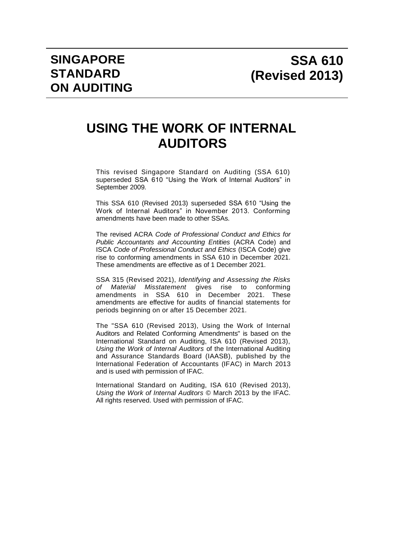# **USING THE WORK OF INTERNAL AUDITORS**

This revised Singapore Standard on Auditing (SSA 610) superseded SSA 610 "Using the Work of Internal Auditors" in September 2009.

This SSA 610 (Revised 2013) superseded SSA 610 "Using the Work of Internal Auditors" in November 2013. Conforming amendments have been made to other SSAs.

The revised ACRA *Code of Professional Conduct and Ethics for Public Accountants and Accounting Entities* (ACRA Code) and ISCA *Code of Professional Conduct and Ethics* (ISCA Code) give rise to conforming amendments in SSA 610 in December 2021. These amendments are effective as of 1 December 2021.

SSA 315 (Revised 2021), *Identifying and Assessing the Risks of Material Misstatement* gives rise to conforming amendments in SSA 610 in December 2021. These amendments are effective for audits of financial statements for periods beginning on or after 15 December 2021.

The "SSA 610 (Revised 2013), Using the Work of Internal Auditors and Related Conforming Amendments" is based on the International Standard on Auditing, ISA 610 (Revised 2013), *Using the Work of Internal Auditors* of the International Auditing and Assurance Standards Board (IAASB), published by the International Federation of Accountants (IFAC) in March 2013 and is used with permission of IFAC.

International Standard on Auditing, ISA 610 (Revised 2013), *Using the Work of Internal Auditors* © March 2013 by the IFAC. All rights reserved. Used with permission of IFAC.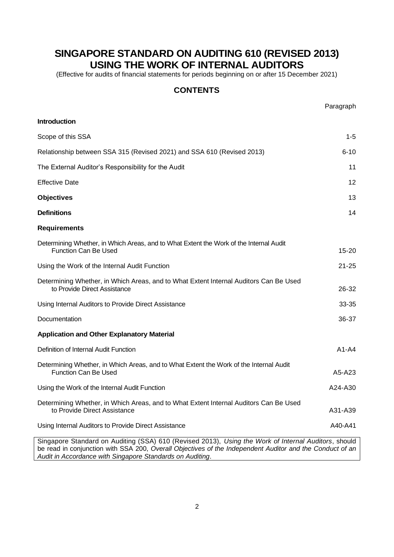# **SINGAPORE STANDARD ON AUDITING 610 (REVISED 2013) USING THE WORK OF INTERNAL AUDITORS**

(Effective for audits of financial statements for periods beginning on or after 15 December 2021)

# **CONTENTS**

Paragraph

| <b>Introduction</b>                                                                                                   |           |
|-----------------------------------------------------------------------------------------------------------------------|-----------|
| Scope of this SSA                                                                                                     | 1-5       |
| Relationship between SSA 315 (Revised 2021) and SSA 610 (Revised 2013)                                                | $6 - 10$  |
| The External Auditor's Responsibility for the Audit                                                                   | 11        |
| <b>Effective Date</b>                                                                                                 | 12        |
| <b>Objectives</b>                                                                                                     | 13        |
| <b>Definitions</b>                                                                                                    | 14        |
| <b>Requirements</b>                                                                                                   |           |
| Determining Whether, in Which Areas, and to What Extent the Work of the Internal Audit<br><b>Function Can Be Used</b> | $15 - 20$ |
| Using the Work of the Internal Audit Function                                                                         | $21 - 25$ |
| Determining Whether, in Which Areas, and to What Extent Internal Auditors Can Be Used<br>to Provide Direct Assistance | 26-32     |
| Using Internal Auditors to Provide Direct Assistance                                                                  | $33 - 35$ |
| Documentation                                                                                                         | 36-37     |
| <b>Application and Other Explanatory Material</b>                                                                     |           |
| Definition of Internal Audit Function                                                                                 | $A1-A4$   |
| Determining Whether, in Which Areas, and to What Extent the Work of the Internal Audit<br><b>Function Can Be Used</b> | A5-A23    |
| Using the Work of the Internal Audit Function                                                                         | A24-A30   |
| Determining Whether, in Which Areas, and to What Extent Internal Auditors Can Be Used<br>to Provide Direct Assistance | A31-A39   |
| Using Internal Auditors to Provide Direct Assistance                                                                  | A40-A41   |

Singapore Standard on Auditing (SSA) 610 (Revised 2013), *Using the Work of Internal Auditors*, should be read in conjunction with SSA 200, *Overall Objectives of the Independent Auditor and the Conduct of an Audit in Accordance with Singapore Standards on Auditing*.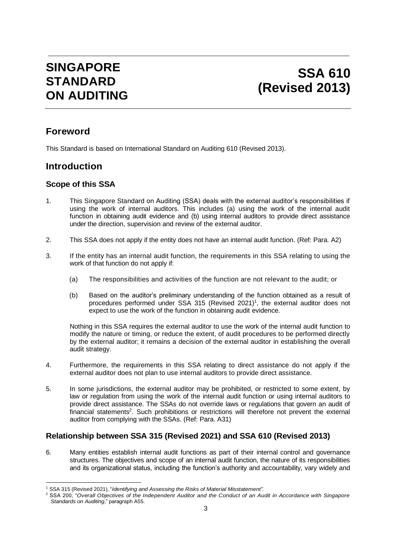# **SINGAPORE STANDARD ON AUDITING**

# **Foreword**

This Standard is based on International Standard on Auditing 610 (Revised 2013).

# **Introduction**

### **Scope of this SSA**

- 1. This Singapore Standard on Auditing (SSA) deals with the external auditor's responsibilities if using the work of internal auditors. This includes (a) using the work of the internal audit function in obtaining audit evidence and (b) using internal auditors to provide direct assistance under the direction, supervision and review of the external auditor.
- 2. This SSA does not apply if the entity does not have an internal audit function. (Ref: Para. A2)
- 3. If the entity has an internal audit function, the requirements in this SSA relating to using the work of that function do not apply if:
	- (a) The responsibilities and activities of the function are not relevant to the audit; or
	- (b) Based on the auditor's preliminary understanding of the function obtained as a result of procedures performed under SSA 315 (Revised 2021) 1 , the external auditor does not expect to use the work of the function in obtaining audit evidence.

Nothing in this SSA requires the external auditor to use the work of the internal audit function to modify the nature or timing, or reduce the extent, of audit procedures to be performed directly by the external auditor; it remains a decision of the external auditor in establishing the overall audit strategy.

- 4. Furthermore, the requirements in this SSA relating to direct assistance do not apply if the external auditor does not plan to use internal auditors to provide direct assistance.
- 5. In some jurisdictions, the external auditor may be prohibited, or restricted to some extent, by law or regulation from using the work of the internal audit function or using internal auditors to provide direct assistance. The SSAs do not override laws or regulations that govern an audit of financial statements<sup>2</sup>. Such prohibitions or restrictions will therefore not prevent the external auditor from complying with the SSAs. (Ref: Para. A31)

# **Relationship between SSA 315 (Revised 2021) and SSA 610 (Revised 2013)**

6. Many entities establish internal audit functions as part of their internal control and governance structures. The objectives and scope of an internal audit function, the nature of its responsibilities and its organizational status, including the function's authority and accountability, vary widely and

<sup>1</sup> SSA 315 (Revised 2021), "*Identifying and Assessing the Risks of Material Misstatement".*

<sup>2</sup> SSA 200, "*Overall Objectives of the Independent Auditor and the Conduct of an Audit in Accordance with Singapore Standards on Auditing*," paragraph A55.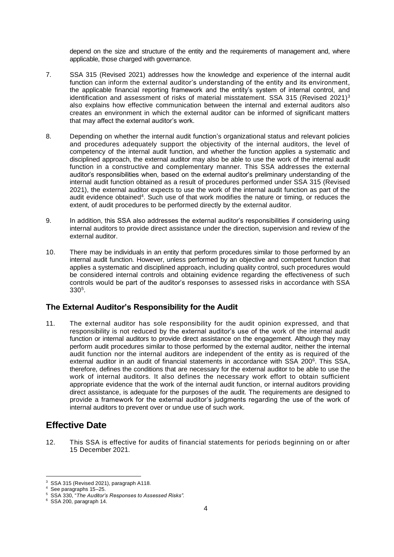depend on the size and structure of the entity and the requirements of management and, where applicable, those charged with governance.

- 7. SSA 315 (Revised 2021) addresses how the knowledge and experience of the internal audit function can inform the external auditor's understanding of the entity and its environment, the applicable financial reporting framework and the entity's system of internal control, and identification and assessment of risks of material misstatement. SSA 315 (Revised 2021)<sup>3</sup> also explains how effective communication between the internal and external auditors also creates an environment in which the external auditor can be informed of significant matters that may affect the external auditor's work.
- 8. Depending on whether the internal audit function's organizational status and relevant policies and procedures adequately support the objectivity of the internal auditors, the level of competency of the internal audit function, and whether the function applies a systematic and disciplined approach, the external auditor may also be able to use the work of the internal audit function in a constructive and complementary manner. This SSA addresses the external auditor's responsibilities when, based on the external auditor's preliminary understanding of the internal audit function obtained as a result of procedures performed under SSA 315 (Revised 2021), the external auditor expects to use the work of the internal audit function as part of the audit evidence obtained<sup>4</sup>. Such use of that work modifies the nature or timing, or reduces the extent, of audit procedures to be performed directly by the external auditor.
- 9. In addition, this SSA also addresses the external auditor's responsibilities if considering using internal auditors to provide direct assistance under the direction, supervision and review of the external auditor.
- 10. There may be individuals in an entity that perform procedures similar to those performed by an internal audit function. However, unless performed by an objective and competent function that applies a systematic and disciplined approach, including quality control, such procedures would be considered internal controls and obtaining evidence regarding the effectiveness of such controls would be part of the auditor's responses to assessed risks in accordance with SSA 330<sup>5</sup> .

### **The External Auditor's Responsibility for the Audit**

11. The external auditor has sole responsibility for the audit opinion expressed, and that responsibility is not reduced by the external auditor's use of the work of the internal audit function or internal auditors to provide direct assistance on the engagement. Although they may perform audit procedures similar to those performed by the external auditor, neither the internal audit function nor the internal auditors are independent of the entity as is required of the external auditor in an audit of financial statements in accordance with SSA 200<sup>6</sup>. This SSA, therefore, defines the conditions that are necessary for the external auditor to be able to use the work of internal auditors. It also defines the necessary work effort to obtain sufficient appropriate evidence that the work of the internal audit function, or internal auditors providing direct assistance, is adequate for the purposes of the audit. The requirements are designed to provide a framework for the external auditor's judgments regarding the use of the work of internal auditors to prevent over or undue use of such work.

# **Effective Date**

12. This SSA is effective for audits of financial statements for periods beginning on or after 15 December 2021.

<sup>&</sup>lt;sup>3</sup> SSA 315 (Revised 2021), paragraph A118.

See paragraphs 15–25.

<sup>5</sup> SSA 330, "*The Auditor's Responses to Assessed Risks".*

<sup>6</sup> SSA 200, paragraph 14.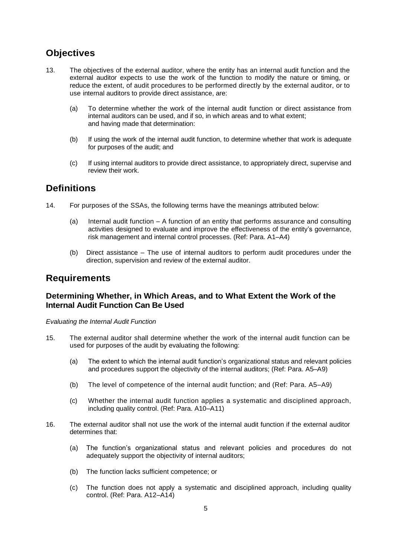# **Objectives**

- 13. The objectives of the external auditor, where the entity has an internal audit function and the external auditor expects to use the work of the function to modify the nature or timing, or reduce the extent, of audit procedures to be performed directly by the external auditor, or to use internal auditors to provide direct assistance, are:
	- (a) To determine whether the work of the internal audit function or direct assistance from internal auditors can be used, and if so, in which areas and to what extent; and having made that determination:
	- (b) If using the work of the internal audit function, to determine whether that work is adequate for purposes of the audit; and
	- (c) If using internal auditors to provide direct assistance, to appropriately direct, supervise and review their work.

# **Definitions**

- 14. For purposes of the SSAs, the following terms have the meanings attributed below:
	- (a) Internal audit function A function of an entity that performs assurance and consulting activities designed to evaluate and improve the effectiveness of the entity's governance, risk management and internal control processes. (Ref: Para. A1–A4)
	- (b) Direct assistance The use of internal auditors to perform audit procedures under the direction, supervision and review of the external auditor.

# **Requirements**

## **Determining Whether, in Which Areas, and to What Extent the Work of the Internal Audit Function Can Be Used**

#### *Evaluating the Internal Audit Function*

- 15. The external auditor shall determine whether the work of the internal audit function can be used for purposes of the audit by evaluating the following:
	- (a) The extent to which the internal audit function's organizational status and relevant policies and procedures support the objectivity of the internal auditors; (Ref: Para. A5–A9)
	- (b) The level of competence of the internal audit function; and (Ref: Para. A5–A9)
	- (c) Whether the internal audit function applies a systematic and disciplined approach, including quality control. (Ref: Para. A10–A11)
- 16. The external auditor shall not use the work of the internal audit function if the external auditor determines that:
	- (a) The function's organizational status and relevant policies and procedures do not adequately support the objectivity of internal auditors;
	- (b) The function lacks sufficient competence; or
	- (c) The function does not apply a systematic and disciplined approach, including quality control. (Ref: Para. A12–A14)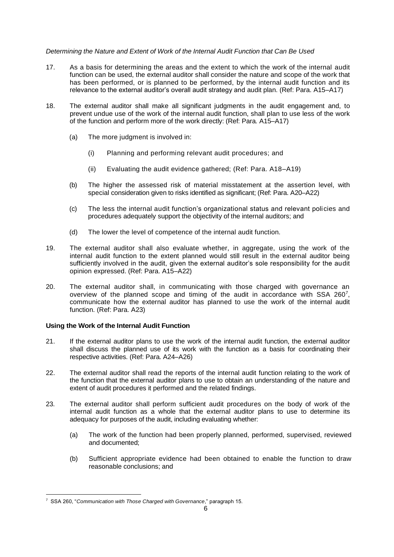#### *Determining the Nature and Extent of Work of the Internal Audit Function that Can Be Used*

- 17. As a basis for determining the areas and the extent to which the work of the internal audit function can be used, the external auditor shall consider the nature and scope of the work that has been performed, or is planned to be performed, by the internal audit function and its relevance to the external auditor's overall audit strategy and audit plan. (Ref: Para. A15–A17)
- 18. The external auditor shall make all significant judgments in the audit engagement and, to prevent undue use of the work of the internal audit function, shall plan to use less of the work of the function and perform more of the work directly: (Ref: Para. A15–A17)
	- (a) The more judgment is involved in:
		- (i) Planning and performing relevant audit procedures; and
		- (ii) Evaluating the audit evidence gathered; (Ref: Para. A18–A19)
	- (b) The higher the assessed risk of material misstatement at the assertion level, with special consideration given to risks identified as significant; (Ref: Para. A20–A22)
	- (c) The less the internal audit function's organizational status and relevant policies and procedures adequately support the objectivity of the internal auditors; and
	- (d) The lower the level of competence of the internal audit function.
- 19. The external auditor shall also evaluate whether, in aggregate, using the work of the internal audit function to the extent planned would still result in the external auditor being sufficiently involved in the audit, given the external auditor's sole responsibility for the audit opinion expressed. (Ref: Para. A15–A22)
- 20. The external auditor shall, in communicating with those charged with governance an overview of the planned scope and timing of the audit in accordance with SSA 260 $^7$ , communicate how the external auditor has planned to use the work of the internal audit function. (Ref: Para. A23)

#### **Using the Work of the Internal Audit Function**

- 21. If the external auditor plans to use the work of the internal audit function, the external auditor shall discuss the planned use of its work with the function as a basis for coordinating their respective activities. (Ref: Para. A24–A26)
- 22. The external auditor shall read the reports of the internal audit function relating to the work of the function that the external auditor plans to use to obtain an understanding of the nature and extent of audit procedures it performed and the related findings.
- 23. The external auditor shall perform sufficient audit procedures on the body of work of the internal audit function as a whole that the external auditor plans to use to determine its adequacy for purposes of the audit, including evaluating whether:
	- (a) The work of the function had been properly planned, performed, supervised, reviewed and documented;
	- (b) Sufficient appropriate evidence had been obtained to enable the function to draw reasonable conclusions; and

<sup>7</sup> SSA 260, "*Communication with Those Charged with Governance*," paragraph 15.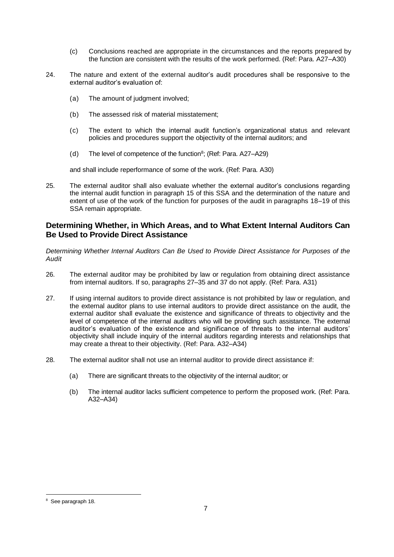- (c) Conclusions reached are appropriate in the circumstances and the reports prepared by the function are consistent with the results of the work performed. (Ref: Para. A27–A30)
- 24. The nature and extent of the external auditor's audit procedures shall be responsive to the external auditor's evaluation of:
	- (a) The amount of judgment involved;
	- (b) The assessed risk of material misstatement;
	- (c) The extent to which the internal audit function's organizational status and relevant policies and procedures support the objectivity of the internal auditors; and
	- (d) The level of competence of the function<sup>8</sup>; (Ref: Para. A27–A29)

and shall include reperformance of some of the work. (Ref: Para. A30)

25. The external auditor shall also evaluate whether the external auditor's conclusions regarding the internal audit function in paragraph 15 of this SSA and the determination of the nature and extent of use of the work of the function for purposes of the audit in paragraphs 18–19 of this SSA remain appropriate.

### **Determining Whether, in Which Areas, and to What Extent Internal Auditors Can Be Used to Provide Direct Assistance**

*Determining Whether Internal Auditors Can Be Used to Provide Direct Assistance for Purposes of the Audit*

- 26. The external auditor may be prohibited by law or regulation from obtaining direct assistance from internal auditors. If so, paragraphs 27–35 and 37 do not apply. (Ref: Para. A31)
- 27. If using internal auditors to provide direct assistance is not prohibited by law or regulation, and the external auditor plans to use internal auditors to provide direct assistance on the audit, the external auditor shall evaluate the existence and significance of threats to objectivity and the level of competence of the internal auditors who will be providing such assistance. The external auditor's evaluation of the existence and significance of threats to the internal auditors' objectivity shall include inquiry of the internal auditors regarding interests and relationships that may create a threat to their objectivity. (Ref: Para. A32–A34)
- 28. The external auditor shall not use an internal auditor to provide direct assistance if:
	- (a) There are significant threats to the objectivity of the internal auditor; or
	- (b) The internal auditor lacks sufficient competence to perform the proposed work. (Ref: Para. A32–A34)

<sup>&</sup>lt;sup>8</sup> See paragraph 18.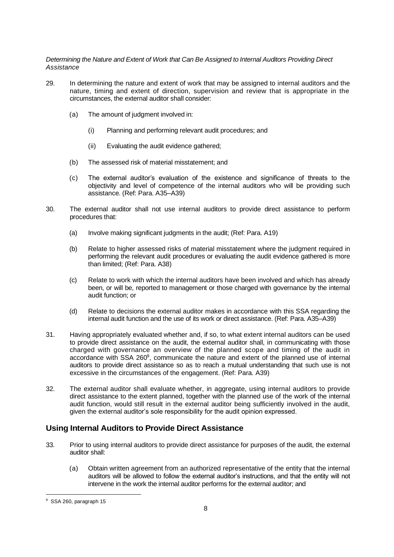#### *Determining the Nature and Extent of Work that Can Be Assigned to Internal Auditors Providing Direct Assistance*

- 29. In determining the nature and extent of work that may be assigned to internal auditors and the nature, timing and extent of direction, supervision and review that is appropriate in the circumstances, the external auditor shall consider:
	- (a) The amount of judgment involved in:
		- (i) Planning and performing relevant audit procedures; and
		- (ii) Evaluating the audit evidence gathered;
	- (b) The assessed risk of material misstatement; and
	- (c) The external auditor's evaluation of the existence and significance of threats to the objectivity and level of competence of the internal auditors who will be providing such assistance. (Ref: Para. A35–A39)
- 30. The external auditor shall not use internal auditors to provide direct assistance to perform procedures that:
	- (a) Involve making significant judgments in the audit; (Ref: Para. A19)
	- (b) Relate to higher assessed risks of material misstatement where the judgment required in performing the relevant audit procedures or evaluating the audit evidence gathered is more than limited; (Ref: Para. A38)
	- (c) Relate to work with which the internal auditors have been involved and which has already been, or will be, reported to management or those charged with governance by the internal audit function; or
	- (d) Relate to decisions the external auditor makes in accordance with this SSA regarding the internal audit function and the use of its work or direct assistance. (Ref: Para. A35–A39)
- 31. Having appropriately evaluated whether and, if so, to what extent internal auditors can be used to provide direct assistance on the audit, the external auditor shall, in communicating with those charged with governance an overview of the planned scope and timing of the audit in accordance with SSA 260<sup>9</sup>, communicate the nature and extent of the planned use of internal auditors to provide direct assistance so as to reach a mutual understanding that such use is not excessive in the circumstances of the engagement. (Ref: Para. A39)
- 32. The external auditor shall evaluate whether, in aggregate, using internal auditors to provide direct assistance to the extent planned, together with the planned use of the work of the internal audit function, would still result in the external auditor being sufficiently involved in the audit, given the external auditor's sole responsibility for the audit opinion expressed.

### **Using Internal Auditors to Provide Direct Assistance**

- 33. Prior to using internal auditors to provide direct assistance for purposes of the audit, the external auditor shall:
	- (a) Obtain written agreement from an authorized representative of the entity that the internal auditors will be allowed to follow the external auditor's instructions, and that the entity will not intervene in the work the internal auditor performs for the external auditor; and

<sup>9</sup> SSA 260, paragraph 15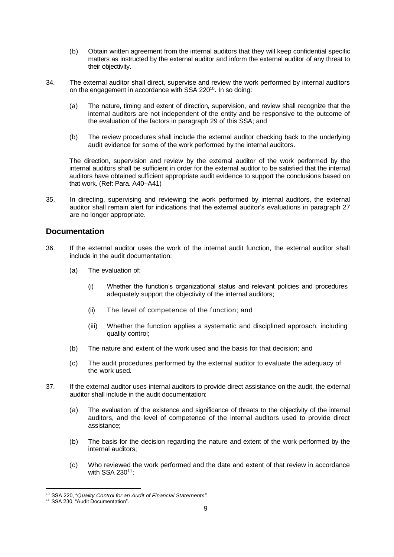- (b) Obtain written agreement from the internal auditors that they will keep confidential specific matters as instructed by the external auditor and inform the external auditor of any threat to their objectivity.
- 34. The external auditor shall direct, supervise and review the work performed by internal auditors on the engagement in accordance with SSA 220<sup>10</sup>. In so doing:
	- (a) The nature, timing and extent of direction, supervision, and review shall recognize that the internal auditors are not independent of the entity and be responsive to the outcome of the evaluation of the factors in paragraph 29 of this SSA; and
	- (b) The review procedures shall include the external auditor checking back to the underlying audit evidence for some of the work performed by the internal auditors.

The direction, supervision and review by the external auditor of the work performed by the internal auditors shall be sufficient in order for the external auditor to be satisfied that the internal auditors have obtained sufficient appropriate audit evidence to support the conclusions based on that work. (Ref: Para. A40–A41)

35. In directing, supervising and reviewing the work performed by internal auditors, the external auditor shall remain alert for indications that the external auditor's evaluations in paragraph 27 are no longer appropriate.

### **Documentation**

- 36. If the external auditor uses the work of the internal audit function, the external auditor shall include in the audit documentation:
	- (a) The evaluation of:
		- (i) Whether the function's organizational status and relevant policies and procedures adequately support the objectivity of the internal auditors;
		- (ii) The level of competence of the function; and
		- (iii) Whether the function applies a systematic and disciplined approach, including quality control;
	- (b) The nature and extent of the work used and the basis for that decision; and
	- (c) The audit procedures performed by the external auditor to evaluate the adequacy of the work used.
- 37. If the external auditor uses internal auditors to provide direct assistance on the audit, the external auditor shall include in the audit documentation:
	- (a) The evaluation of the existence and significance of threats to the objectivity of the internal auditors, and the level of competence of the internal auditors used to provide direct assistance;
	- (b) The basis for the decision regarding the nature and extent of the work performed by the internal auditors;
	- (c) Who reviewed the work performed and the date and extent of that review in accordance with SSA  $230^{11}$ :

<sup>10</sup> SSA 220, "*Quality Control for an Audit of Financial Statements".*

<sup>11</sup> SSA 230, "Audit Documentation".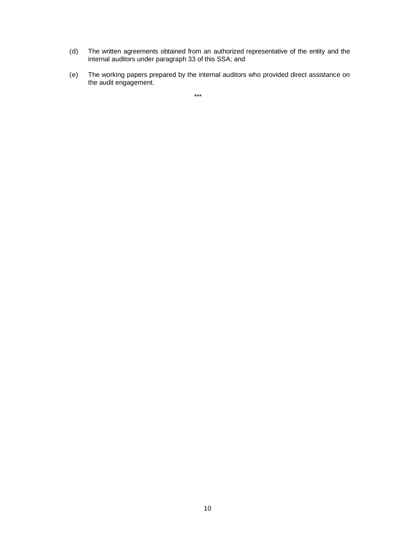- (d) The written agreements obtained from an authorized representative of the entity and the internal auditors under paragraph 33 of this SSA; and
- (e) The working papers prepared by the internal auditors who provided direct assistance on the audit engagement.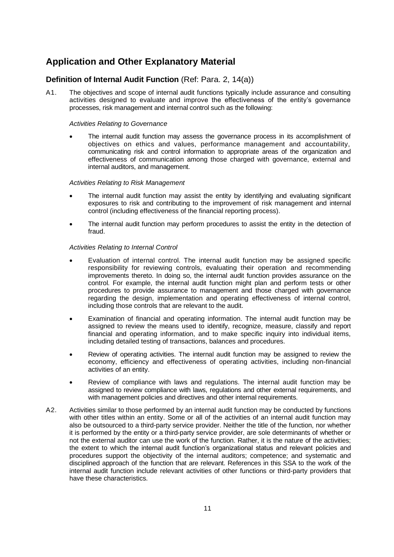# **Application and Other Explanatory Material**

# **Definition of Internal Audit Function** (Ref: Para. 2, 14(a))

A1. The objectives and scope of internal audit functions typically include assurance and consulting activities designed to evaluate and improve the effectiveness of the entity's governance processes, risk management and internal control such as the following:

#### *Activities Relating to Governance*

The internal audit function may assess the governance process in its accomplishment of objectives on ethics and values, performance management and accountability, communicating risk and control information to appropriate areas of the organization and effectiveness of communication among those charged with governance, external and internal auditors, and management.

#### *Activities Relating to Risk Management*

- The internal audit function may assist the entity by identifying and evaluating significant exposures to risk and contributing to the improvement of risk management and internal control (including effectiveness of the financial reporting process).
- The internal audit function may perform procedures to assist the entity in the detection of fraud.

#### *Activities Relating to Internal Control*

- Evaluation of internal control. The internal audit function may be assigned specific responsibility for reviewing controls, evaluating their operation and recommending improvements thereto. In doing so, the internal audit function provides assurance on the control. For example, the internal audit function might plan and perform tests or other procedures to provide assurance to management and those charged with governance regarding the design, implementation and operating effectiveness of internal control, including those controls that are relevant to the audit.
- Examination of financial and operating information. The internal audit function may be assigned to review the means used to identify, recognize, measure, classify and report financial and operating information, and to make specific inquiry into individual items, including detailed testing of transactions, balances and procedures.
- Review of operating activities. The internal audit function may be assigned to review the economy, efficiency and effectiveness of operating activities, including non-financial activities of an entity.
- Review of compliance with laws and regulations. The internal audit function may be assigned to review compliance with laws, regulations and other external requirements, and with management policies and directives and other internal requirements.
- A2. Activities similar to those performed by an internal audit function may be conducted by functions with other titles within an entity. Some or all of the activities of an internal audit function may also be outsourced to a third-party service provider. Neither the title of the function, nor whether it is performed by the entity or a third-party service provider, are sole determinants of whether or not the external auditor can use the work of the function. Rather, it is the nature of the activities; the extent to which the internal audit function's organizational status and relevant policies and procedures support the objectivity of the internal auditors; competence; and systematic and disciplined approach of the function that are relevant. References in this SSA to the work of the internal audit function include relevant activities of other functions or third-party providers that have these characteristics.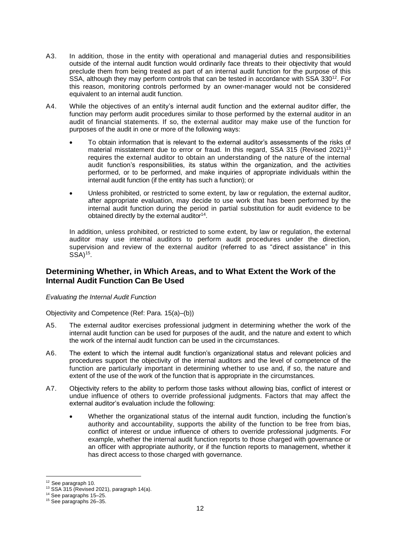- A3. In addition, those in the entity with operational and managerial duties and responsibilities outside of the internal audit function would ordinarily face threats to their objectivity that would preclude them from being treated as part of an internal audit function for the purpose of this SSA, although they may perform controls that can be tested in accordance with SSA 330<sup>12</sup>. For this reason, monitoring controls performed by an owner-manager would not be considered equivalent to an internal audit function.
- A4. While the objectives of an entity's internal audit function and the external auditor differ, the function may perform audit procedures similar to those performed by the external auditor in an audit of financial statements. If so, the external auditor may make use of the function for purposes of the audit in one or more of the following ways:
	- To obtain information that is relevant to the external auditor's assessments of the risks of material misstatement due to error or fraud. In this regard, SSA 315 (Revised 2021)<sup>13</sup> requires the external auditor to obtain an understanding of the nature of the internal audit function's responsibilities, its status within the organization, and the activities performed, or to be performed, and make inquiries of appropriate individuals within the internal audit function (if the entity has such a function); or
	- Unless prohibited, or restricted to some extent, by law or regulation, the external auditor, after appropriate evaluation, may decide to use work that has been performed by the internal audit function during the period in partial substitution for audit evidence to be obtained directly by the external auditor<sup>14</sup>.

In addition, unless prohibited, or restricted to some extent, by law or regulation, the external auditor may use internal auditors to perform audit procedures under the direction, supervision and review of the external auditor (referred to as "direct assistance" in this SSA)<sup>15</sup> .

### **Determining Whether, in Which Areas, and to What Extent the Work of the Internal Audit Function Can Be Used**

#### *Evaluating the Internal Audit Function*

#### Objectivity and Competence (Ref: Para. 15(a)–(b))

- A5. The external auditor exercises professional judgment in determining whether the work of the internal audit function can be used for purposes of the audit, and the nature and extent to which the work of the internal audit function can be used in the circumstances.
- A6. The extent to which the internal audit function's organizational status and relevant policies and procedures support the objectivity of the internal auditors and the level of competence of the function are particularly important in determining whether to use and, if so, the nature and extent of the use of the work of the function that is appropriate in the circumstances.
- A7. Objectivity refers to the ability to perform those tasks without allowing bias, conflict of interest or undue influence of others to override professional judgments. Factors that may affect the external auditor's evaluation include the following:
	- Whether the organizational status of the internal audit function, including the function's authority and accountability, supports the ability of the function to be free from bias, conflict of interest or undue influence of others to override professional judgments. For example, whether the internal audit function reports to those charged with governance or an officer with appropriate authority, or if the function reports to management, whether it has direct access to those charged with governance.

<sup>12</sup> See paragraph 10.

<sup>13</sup> SSA 315 (Revised 2021), paragraph 14(a).

<sup>14</sup> See paragraphs 15–25.

<sup>&</sup>lt;sup>15</sup> See paragraphs 26-35.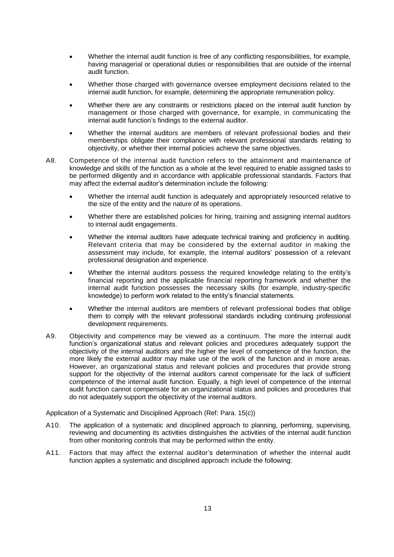- Whether the internal audit function is free of any conflicting responsibilities, for example, having managerial or operational duties or responsibilities that are outside of the internal audit function.
- Whether those charged with governance oversee employment decisions related to the internal audit function, for example, determining the appropriate remuneration policy.
- Whether there are any constraints or restrictions placed on the internal audit function by management or those charged with governance, for example, in communicating the internal audit function's findings to the external auditor.
- Whether the internal auditors are members of relevant professional bodies and their memberships obligate their compliance with relevant professional standards relating to objectivity, or whether their internal policies achieve the same objectives.
- A8. Competence of the internal audit function refers to the attainment and maintenance of knowledge and skills of the function as a whole at the level required to enable assigned tasks to be performed diligently and in accordance with applicable professional standards. Factors that may affect the external auditor's determination include the following:
	- Whether the internal audit function is adequately and appropriately resourced relative to the size of the entity and the nature of its operations.
	- Whether there are established policies for hiring, training and assigning internal auditors to internal audit engagements.
	- Whether the internal auditors have adequate technical training and proficiency in auditing. Relevant criteria that may be considered by the external auditor in making the assessment may include, for example, the internal auditors' possession of a relevant professional designation and experience.
	- Whether the internal auditors possess the required knowledge relating to the entity's financial reporting and the applicable financial reporting framework and whether the internal audit function possesses the necessary skills (for example, industry-specific knowledge) to perform work related to the entity's financial statements.
	- Whether the internal auditors are members of relevant professional bodies that oblige them to comply with the relevant professional standards including continuing professional development requirements.
- A9. Objectivity and competence may be viewed as a continuum. The more the internal audit function's organizational status and relevant policies and procedures adequately support the objectivity of the internal auditors and the higher the level of competence of the function, the more likely the external auditor may make use of the work of the function and in more areas. However, an organizational status and relevant policies and procedures that provide strong support for the objectivity of the internal auditors cannot compensate for the lack of sufficient competence of the internal audit function. Equally, a high level of competence of the internal audit function cannot compensate for an organizational status and policies and procedures that do not adequately support the objectivity of the internal auditors.

Application of a Systematic and Disciplined Approach (Ref: Para. 15(c))

- A10. The application of a systematic and disciplined approach to planning, performing, supervising, reviewing and documenting its activities distinguishes the activities of the internal audit function from other monitoring controls that may be performed within the entity.
- A11. Factors that may affect the external auditor's determination of whether the internal audit function applies a systematic and disciplined approach include the following: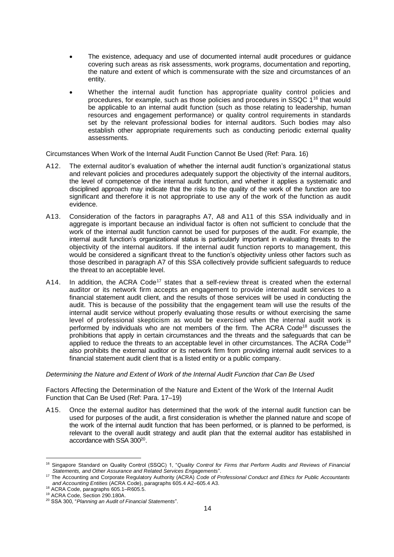- The existence, adequacy and use of documented internal audit procedures or guidance covering such areas as risk assessments, work programs, documentation and reporting, the nature and extent of which is commensurate with the size and circumstances of an entity.
- Whether the internal audit function has appropriate quality control policies and procedures, for example, such as those policies and procedures in SSQC 1<sup>16</sup> that would be applicable to an internal audit function (such as those relating to leadership, human resources and engagement performance) or quality control requirements in standards set by the relevant professional bodies for internal auditors. Such bodies may also establish other appropriate requirements such as conducting periodic external quality assessments.

Circumstances When Work of the Internal Audit Function Cannot Be Used (Ref: Para. 16)

- A12. The external auditor's evaluation of whether the internal audit function's organizational status and relevant policies and procedures adequately support the objectivity of the internal auditors, the level of competence of the internal audit function, and whether it applies a systematic and disciplined approach may indicate that the risks to the quality of the work of the function are too significant and therefore it is not appropriate to use any of the work of the function as audit evidence.
- A13. Consideration of the factors in paragraphs A7, A8 and A11 of this SSA individually and in aggregate is important because an individual factor is often not sufficient to conclude that the work of the internal audit function cannot be used for purposes of the audit. For example, the internal audit function's organizational status is particularly important in evaluating threats to the objectivity of the internal auditors. If the internal audit function reports to management, this would be considered a significant threat to the function's objectivity unless other factors such as those described in paragraph A7 of this SSA collectively provide sufficient safeguards to reduce the threat to an acceptable level.
- A14. In addition, the ACRA Code<sup>17</sup> states that a self-review threat is created when the external auditor or its network firm accepts an engagement to provide internal audit services to a financial statement audit client, and the results of those services will be used in conducting the audit. This is because of the possibility that the engagement team will use the results of the internal audit service without properly evaluating those results or without exercising the same level of professional skepticism as would be exercised when the internal audit work is performed by individuals who are not members of the firm. The ACRA Code<sup>18</sup> discusses the prohibitions that apply in certain circumstances and the threats and the safeguards that can be applied to reduce the threats to an acceptable level in other circumstances. The ACRA Code<sup>19</sup> also prohibits the external auditor or its network firm from providing internal audit services to a financial statement audit client that is a listed entity or a public company.

*Determining the Nature and Extent of Work of the Internal Audit Function that Can Be Used*

Factors Affecting the Determination of the Nature and Extent of the Work of the Internal Audit Function that Can Be Used (Ref: Para. 17–19)

A15. Once the external auditor has determined that the work of the internal audit function can be used for purposes of the audit, a first consideration is whether the planned nature and scope of the work of the internal audit function that has been performed, or is planned to be performed, is relevant to the overall audit strategy and audit plan that the external auditor has established in accordance with SSA 300<sup>20</sup>.

<sup>16</sup> Singapore Standard on Quality Control (SSQC) 1, "*Quality Control for Firms that Perform Audits and Reviews of Financial Statements, and Other Assurance and Related Services Engagements*".

<sup>17</sup> The Accounting and Corporate Regulatory Authority (ACRA) *Code of Professional Conduct and Ethics for Public Accountants and Accounting Entities* (ACRA Code), paragraphs 605.4 A2–605.4 A3.

<sup>18</sup> ACRA Code, paragraphs 605.1–R605.5.

<sup>19</sup> ACRA Code, Section 290.180A.

<sup>20</sup> SSA 300, "*Planning an Audit of Financial Statements*".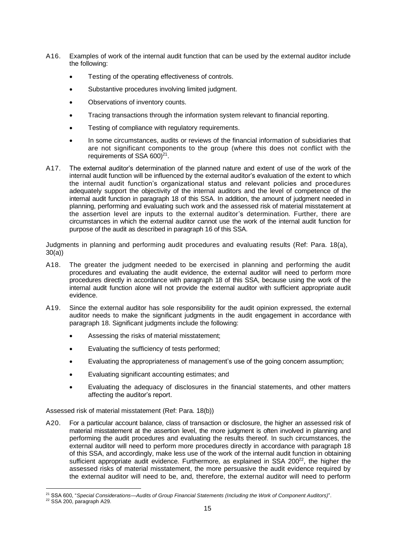- A16. Examples of work of the internal audit function that can be used by the external auditor include the following:
	- Testing of the operating effectiveness of controls.
	- Substantive procedures involving limited judgment.
	- Observations of inventory counts.
	- Tracing transactions through the information system relevant to financial reporting.
	- Testing of compliance with regulatory requirements.
	- In some circumstances, audits or reviews of the financial information of subsidiaries that are not significant components to the group (where this does not conflict with the requirements of SSA 600 $2<sup>1</sup>$ .
- A17. The external auditor's determination of the planned nature and extent of use of the work of the internal audit function will be influenced by the external auditor's evaluation of the extent to which the internal audit function's organizational status and relevant policies and procedures adequately support the objectivity of the internal auditors and the level of competence of the internal audit function in paragraph 18 of this SSA. In addition, the amount of judgment needed in planning, performing and evaluating such work and the assessed risk of material misstatement at the assertion level are inputs to the external auditor's determination. Further, there are circumstances in which the external auditor cannot use the work of the internal audit function for purpose of the audit as described in paragraph 16 of this SSA.

Judgments in planning and performing audit procedures and evaluating results (Ref: Para. 18(a), 30(a))

- A18. The greater the judgment needed to be exercised in planning and performing the audit procedures and evaluating the audit evidence, the external auditor will need to perform more procedures directly in accordance with paragraph 18 of this SSA, because using the work of the internal audit function alone will not provide the external auditor with sufficient appropriate audit evidence.
- A19. Since the external auditor has sole responsibility for the audit opinion expressed, the external auditor needs to make the significant judgments in the audit engagement in accordance with paragraph 18. Significant judgments include the following:
	- Assessing the risks of material misstatement;
	- Evaluating the sufficiency of tests performed;
	- Evaluating the appropriateness of management's use of the going concern assumption;
	- Evaluating significant accounting estimates; and
	- Evaluating the adequacy of disclosures in the financial statements, and other matters affecting the auditor's report.

Assessed risk of material misstatement (Ref: Para. 18(b))

A20. For a particular account balance, class of transaction or disclosure, the higher an assessed risk of material misstatement at the assertion level, the more judgment is often involved in planning and performing the audit procedures and evaluating the results thereof. In such circumstances, the external auditor will need to perform more procedures directly in accordance with paragraph 18 of this SSA, and accordingly, make less use of the work of the internal audit function in obtaining sufficient appropriate audit evidence. Furthermore, as explained in SSA 200 $^{22}$ , the higher the assessed risks of material misstatement, the more persuasive the audit evidence required by the external auditor will need to be, and, therefore, the external auditor will need to perform

<sup>21</sup> SSA 600, "*Special Considerations—Audits of Group Financial Statements (Including the Work of Component Auditors)*".

 $22$  SSA 200, paragraph A29.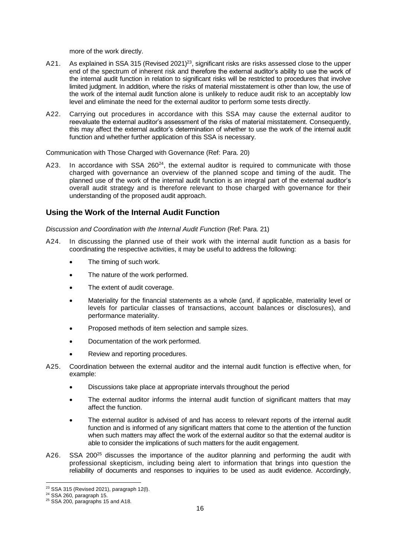more of the work directly.

- A21. As explained in SSA 315 (Revised 2021)<sup>23</sup>, significant risks are risks assessed close to the upper end of the spectrum of inherent risk and therefore the external auditor's ability to use the work of the internal audit function in relation to significant risks will be restricted to procedures that involve limited judgment. In addition, where the risks of material misstatement is other than low, the use of the work of the internal audit function alone is unlikely to reduce audit risk to an acceptably low level and eliminate the need for the external auditor to perform some tests directly.
- A22. Carrying out procedures in accordance with this SSA may cause the external auditor to reevaluate the external auditor's assessment of the risks of material misstatement. Consequently, this may affect the external auditor's determination of whether to use the work of the internal audit function and whether further application of this SSA is necessary.

Communication with Those Charged with Governance (Ref: Para. 20)

A23. In accordance with SSA  $260^{24}$ , the external auditor is required to communicate with those charged with governance an overview of the planned scope and timing of the audit. The planned use of the work of the internal audit function is an integral part of the external auditor's overall audit strategy and is therefore relevant to those charged with governance for their understanding of the proposed audit approach.

### **Using the Work of the Internal Audit Function**

*Discussion and Coordination with the Internal Audit Function* (Ref: Para. 21)

- A24. In discussing the planned use of their work with the internal audit function as a basis for coordinating the respective activities, it may be useful to address the following:
	- The timing of such work.
	- The nature of the work performed.
	- The extent of audit coverage.
	- Materiality for the financial statements as a whole (and, if applicable, materiality level or levels for particular classes of transactions, account balances or disclosures), and performance materiality.
	- Proposed methods of item selection and sample sizes.
	- Documentation of the work performed.
	- Review and reporting procedures.
- A25. Coordination between the external auditor and the internal audit function is effective when, for example:
	- Discussions take place at appropriate intervals throughout the period
	- The external auditor informs the internal audit function of significant matters that may affect the function.
	- The external auditor is advised of and has access to relevant reports of the internal audit function and is informed of any significant matters that come to the attention of the function when such matters may affect the work of the external auditor so that the external auditor is able to consider the implications of such matters for the audit engagement.
- A26. SSA 200<sup>25</sup> discusses the importance of the auditor planning and performing the audit with professional skepticism, including being alert to information that brings into question the reliability of documents and responses to inquiries to be used as audit evidence. Accordingly,

 $23$  SSA 315 (Revised 2021), paragraph 12(I).

<sup>24</sup> SSA 260, paragraph 15.

 $25$  SSA 200, paragraphs 15 and A18.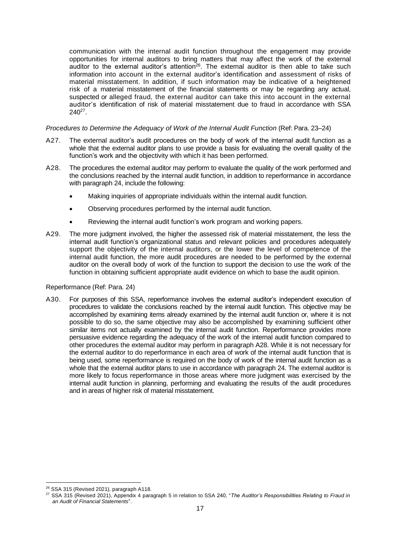communication with the internal audit function throughout the engagement may provide opportunities for internal auditors to bring matters that may affect the work of the external auditor to the external auditor's attention $^{26}$ . The external auditor is then able to take such information into account in the external auditor's identification and assessment of risks of material misstatement. In addition, if such information may be indicative of a heightened risk of a material misstatement of the financial statements or may be regarding any actual, suspected or alleged fraud, the external auditor can take this into account in the external auditor's identification of risk of material misstatement due to fraud in accordance with SSA  $240^{27}$ .

#### *Procedures to Determine the Adequacy of Work of the Internal Audit Function (Ref: Para. 23–24)*

- A27. The external auditor's audit procedures on the body of work of the internal audit function as a whole that the external auditor plans to use provide a basis for evaluating the overall quality of the function's work and the objectivity with which it has been performed.
- A28. The procedures the external auditor may perform to evaluate the quality of the work performed and the conclusions reached by the internal audit function, in addition to reperformance in accordance with paragraph 24, include the following:
	- Making inquiries of appropriate individuals within the internal audit function.
	- Observing procedures performed by the internal audit function.
	- Reviewing the internal audit function's work program and working papers.
- A29. The more judgment involved, the higher the assessed risk of material misstatement, the less the internal audit function's organizational status and relevant policies and procedures adequately support the objectivity of the internal auditors, or the lower the level of competence of the internal audit function, the more audit procedures are needed to be performed by the external auditor on the overall body of work of the function to support the decision to use the work of the function in obtaining sufficient appropriate audit evidence on which to base the audit opinion.

#### Reperformance (Ref: Para. 24)

A30. For purposes of this SSA, reperformance involves the external auditor's independent execution of procedures to validate the conclusions reached by the internal audit function. This objective may be accomplished by examining items already examined by the internal audit function or, where it is not possible to do so, the same objective may also be accomplished by examining sufficient other similar items not actually examined by the internal audit function. Reperformance provides more persuasive evidence regarding the adequacy of the work of the internal audit function compared to other procedures the external auditor may perform in paragraph A28. While it is not necessary for the external auditor to do reperformance in each area of work of the internal audit function that is being used, some reperformance is required on the body of work of the internal audit function as a whole that the external auditor plans to use in accordance with paragraph 24. The external auditor is more likely to focus reperformance in those areas where more judgment was exercised by the internal audit function in planning, performing and evaluating the results of the audit procedures and in areas of higher risk of material misstatement.

<sup>&</sup>lt;sup>26</sup> SSA 315 (Revised 2021), paragraph A118.

<sup>27</sup> SSA 315 (Revised 2021), Appendix 4 paragraph 5 in relation to SSA 240, "*The Auditor's Responsibilities Relating to Fraud in an Audit of Financial Statements*".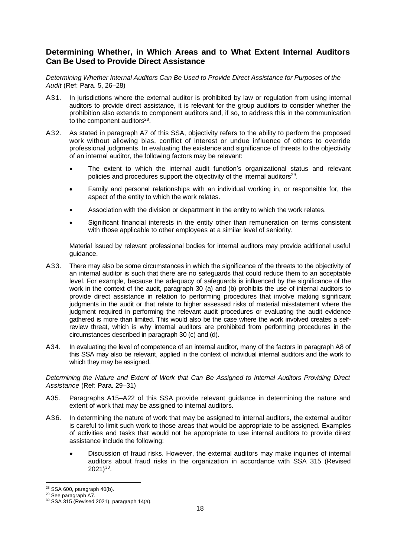## **Determining Whether, in Which Areas and to What Extent Internal Auditors Can Be Used to Provide Direct Assistance**

*Determining Whether Internal Auditors Can Be Used to Provide Direct Assistance for Purposes of the Audit* (Ref: Para. 5, 26–28)

- A31. In jurisdictions where the external auditor is prohibited by law or regulation from using internal auditors to provide direct assistance, it is relevant for the group auditors to consider whether the prohibition also extends to component auditors and, if so, to address this in the communication to the component auditors<sup>28</sup>.
- A32. As stated in paragraph A7 of this SSA, objectivity refers to the ability to perform the proposed work without allowing bias, conflict of interest or undue influence of others to override professional judgments. In evaluating the existence and significance of threats to the objectivity of an internal auditor, the following factors may be relevant:
	- The extent to which the internal audit function's organizational status and relevant policies and procedures support the objectivity of the internal auditors<sup>29</sup>.
	- Family and personal relationships with an individual working in, or responsible for, the aspect of the entity to which the work relates.
	- Association with the division or department in the entity to which the work relates.
	- Significant financial interests in the entity other than remuneration on terms consistent with those applicable to other employees at a similar level of seniority.

Material issued by relevant professional bodies for internal auditors may provide additional useful guidance.

- A33. There may also be some circumstances in which the significance of the threats to the objectivity of an internal auditor is such that there are no safeguards that could reduce them to an acceptable level. For example, because the adequacy of safeguards is influenced by the significance of the work in the context of the audit, paragraph 30 (a) and (b) prohibits the use of internal auditors to provide direct assistance in relation to performing procedures that involve making significant judgments in the audit or that relate to higher assessed risks of material misstatement where the judgment required in performing the relevant audit procedures or evaluating the audit evidence gathered is more than limited. This would also be the case where the work involved creates a selfreview threat, which is why internal auditors are prohibited from performing procedures in the circumstances described in paragraph 30 (c) and (d).
- A34. In evaluating the level of competence of an internal auditor, many of the factors in paragraph A8 of this SSA may also be relevant, applied in the context of individual internal auditors and the work to which they may be assigned.

*Determining the Nature and Extent of Work that Can Be Assigned to Internal Auditors Providing Direct Assistance* (Ref: Para. 29–31)

- A35. Paragraphs A15–A22 of this SSA provide relevant guidance in determining the nature and extent of work that may be assigned to internal auditors.
- A36. In determining the nature of work that may be assigned to internal auditors, the external auditor is careful to limit such work to those areas that would be appropriate to be assigned. Examples of activities and tasks that would not be appropriate to use internal auditors to provide direct assistance include the following:
	- Discussion of fraud risks. However, the external auditors may make inquiries of internal auditors about fraud risks in the organization in accordance with SSA 315 (Revised 2021) 30 .

<sup>28</sup> SSA 600, paragraph 40(b).

<sup>29</sup> See paragraph A7.

 $30$  SSA 315 (Revised 2021), paragraph 14(a).